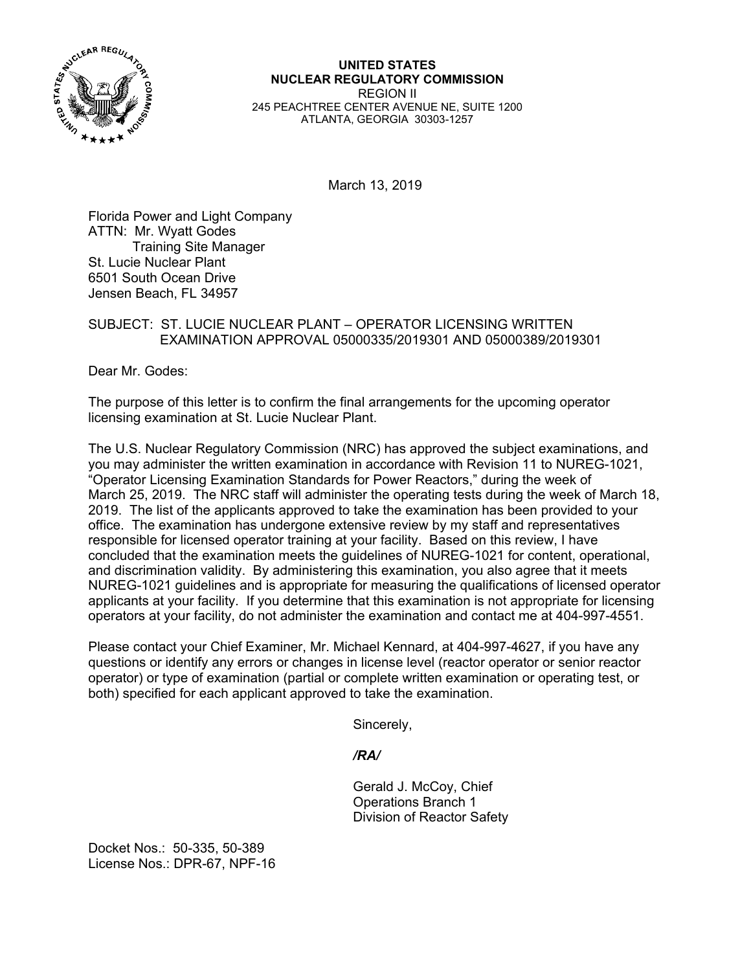

**UNITED STATES NUCLEAR REGULATORY COMMISSION**  REGION II 245 PEACHTREE CENTER AVENUE NE, SUITE 1200 ATLANTA, GEORGIA 30303-1257

March 13, 2019

Florida Power and Light Company ATTN: Mr. Wyatt Godes Training Site Manager St. Lucie Nuclear Plant 6501 South Ocean Drive Jensen Beach, FL 34957

## SUBJECT: ST. LUCIE NUCLEAR PLANT – OPERATOR LICENSING WRITTEN EXAMINATION APPROVAL 05000335/2019301 AND 05000389/2019301

Dear Mr. Godes:

The purpose of this letter is to confirm the final arrangements for the upcoming operator licensing examination at St. Lucie Nuclear Plant.

The U.S. Nuclear Regulatory Commission (NRC) has approved the subject examinations, and you may administer the written examination in accordance with Revision 11 to NUREG-1021, "Operator Licensing Examination Standards for Power Reactors," during the week of March 25, 2019. The NRC staff will administer the operating tests during the week of March 18, 2019. The list of the applicants approved to take the examination has been provided to your office. The examination has undergone extensive review by my staff and representatives responsible for licensed operator training at your facility. Based on this review, I have concluded that the examination meets the guidelines of NUREG-1021 for content, operational, and discrimination validity. By administering this examination, you also agree that it meets NUREG-1021 guidelines and is appropriate for measuring the qualifications of licensed operator applicants at your facility. If you determine that this examination is not appropriate for licensing operators at your facility, do not administer the examination and contact me at 404-997-4551.

Please contact your Chief Examiner, Mr. Michael Kennard, at 404-997-4627, if you have any questions or identify any errors or changes in license level (reactor operator or senior reactor operator) or type of examination (partial or complete written examination or operating test, or both) specified for each applicant approved to take the examination.

Sincerely,

*/RA/* 

 Gerald J. McCoy, Chief Operations Branch 1 Division of Reactor Safety

Docket Nos.: 50-335, 50-389 License Nos.: DPR-67, NPF-16